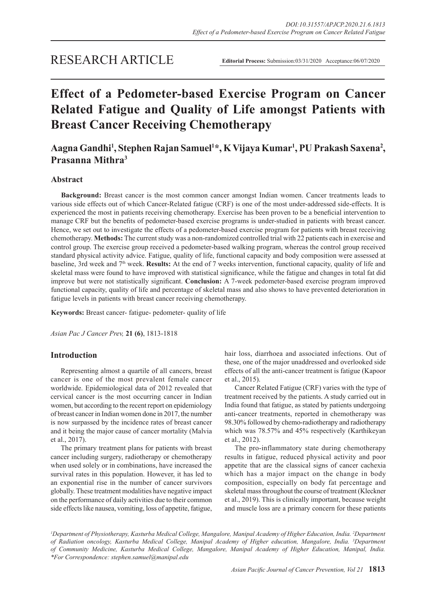# RESEARCH ARTICLE

# **Effect of a Pedometer-based Exercise Program on Cancer Related Fatigue and Quality of Life amongst Patients with Breast Cancer Receiving Chemotherapy**

**Aagna Gandhi1 , Stephen Rajan Samuel1 \*, K Vijaya Kumar1 , PU Prakash Saxena2 , Prasanna Mithra3**

## **Abstract**

**Background:** Breast cancer is the most common cancer amongst Indian women. Cancer treatments leads to various side effects out of which Cancer-Related fatigue (CRF) is one of the most under-addressed side-effects. It is experienced the most in patients receiving chemotherapy. Exercise has been proven to be a beneficial intervention to manage CRF but the benefits of pedometer-based exercise programs is under-studied in patients with breast cancer. Hence, we set out to investigate the effects of a pedometer-based exercise program for patients with breast receiving chemotherapy. **Methods:** The current study was a non-randomized controlled trial with 22 patients each in exercise and control group. The exercise group received a pedometer-based walking program, whereas the control group received standard physical activity advice. Fatigue, quality of life, functional capacity and body composition were assessed at baseline, 3rd week and 7th week. **Results:** At the end of 7 weeks intervention, functional capacity, quality of life and skeletal mass were found to have improved with statistical significance, while the fatigue and changes in total fat did improve but were not statistically significant. **Conclusion:** A 7-week pedometer-based exercise program improved functional capacity, quality of life and percentage of skeletal mass and also shows to have prevented deterioration in fatigue levels in patients with breast cancer receiving chemotherapy.

**Keywords:** Breast cancer- fatigue- pedometer- quality of life

*Asian Pac J Cancer Prev,* **21 (6)**, 1813-1818

#### **Introduction**

Representing almost a quartile of all cancers, breast cancer is one of the most prevalent female cancer worldwide. Epidemiological data of 2012 revealed that cervical cancer is the most occurring cancer in Indian women, but according to the recent report on epidemiology of breast cancer in Indian women done in 2017, the number is now surpassed by the incidence rates of breast cancer and it being the major cause of cancer mortality (Malvia et al., 2017).

The primary treatment plans for patients with breast cancer including surgery, radiotherapy or chemotherapy when used solely or in combinations, have increased the survival rates in this population. However, it has led to an exponential rise in the number of cancer survivors globally. These treatment modalities have negative impact on the performance of daily activities due to their common side effects like nausea, vomiting, loss of appetite, fatigue, hair loss, diarrhoea and associated infections. Out of these, one of the major unaddressed and overlooked side effects of all the anti-cancer treatment is fatigue (Kapoor et al., 2015).

Cancer Related Fatigue (CRF) varies with the type of treatment received by the patients. A study carried out in India found that fatigue, as stated by patients undergoing anti-cancer treatments, reported in chemotherapy was 98.30% followed by chemo-radiotherapy and radiotherapy which was 78.57% and 45% respectively (Karthikeyan et al., 2012).

The pro-inflammatory state during chemotherapy results in fatigue, reduced physical activity and poor appetite that are the classical signs of cancer cachexia which has a major impact on the change in body composition, especially on body fat percentage and skeletal mass throughout the course of treatment (Kleckner et al., 2019). This is clinically important, because weight and muscle loss are a primary concern for these patients

*1 Department of Physiotherapy, Kasturba Medical College, Mangalore, Manipal Academy of Higher Education, India. 2 Department of Radiation oncology, Kasturba Medical College, Manipal Academy of Higher education, Mangalore, India. 3 Department of Community Medicine, Kasturba Medical College, Mangalore, Manipal Academy of Higher Education, Manipal, India. \*For Correspondence: stephen.samuel@manipal.edu*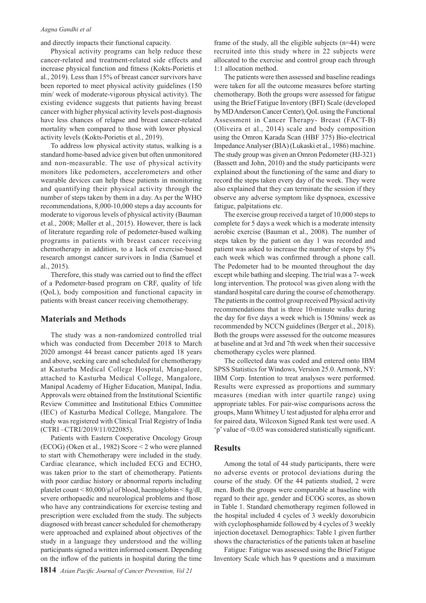#### *Aagna Gandhi et al*

and directly impacts their functional capacity.

Physical activity programs can help reduce these cancer-related and treatment-related side effects and increase physical function and fitness (Kokts-Porietis et al., 2019). Less than 15% of breast cancer survivors have been reported to meet physical activity guidelines (150 min/ week of moderate-vigorous physical activity). The existing evidence suggests that patients having breast cancer with higher physical activity levels post-diagnosis have less chances of relapse and breast cancer-related mortality when compared to those with lower physical activity levels (Kokts-Porietis et al., 2019).

To address low physical activity status, walking is a standard home-based advice given but often unmonitored and non-measurable. The use of physical activity monitors like pedometers, accelerometers and other wearable devices can help these patients in monitoring and quantifying their physical activity through the number of steps taken by them in a day. As per the WHO recommendations, 8,000-10,000 steps a day accounts for moderate to vigorous levels of physical activity (Bauman et al., 2008; Møller et al., 2015). However, there is lack of literature regarding role of pedometer-based walking programs in patients with breast cancer receiving chemotherapy in addition, to a lack of exercise-based research amongst cancer survivors in India (Samuel et al., 2015).

Therefore, this study was carried out to find the effect of a Pedometer-based program on CRF, quality of life (QoL), body composition and functional capacity in patients with breast cancer receiving chemotherapy.

#### **Materials and Methods**

The study was a non-randomized controlled trial which was conducted from December 2018 to March 2020 amongst 44 breast cancer patients aged 18 years and above, seeking care and scheduled for chemotherapy at Kasturba Medical College Hospital, Mangalore, attached to Kasturba Medical College, Mangalore, Manipal Academy of Higher Education, Manipal, India. Approvals were obtained from the Institutional Scientific Review Committee and Institutional Ethics Committee (IEC) of Kasturba Medical College, Mangalore. The study was registered with Clinical Trial Registry of India (CTRI –CTRI/2019/11/022085).

Patients with Eastern Cooperative Oncology Group (ECOG) (Oken et al., 1982) Score < 2 who were planned to start with Chemotherapy were included in the study. Cardiac clearance, which included ECG and ECHO, was taken prior to the start of chemotherapy. Patients with poor cardiac history or abnormal reports including platelet count < 80,000/µl of blood, haemoglobin < 8g/dl, severe orthopaedic and neurological problems and those who have any contraindications for exercise testing and prescription were excluded from the study. The subjects diagnosed with breast cancer scheduled for chemotherapy were approached and explained about objectives of the study in a language they understood and the willing participants signed a written informed consent. Depending on the inflow of the patients in hospital during the time

frame of the study, all the eligible subjects (n=44) were recruited into this study where in 22 subjects were allocated to the exercise and control group each through 1:1 allocation method.

The patients were then assessed and baseline readings were taken for all the outcome measures before starting chemotherapy. Both the groups were assessed for fatigue using the Brief Fatigue Inventory (BFI) Scale (developed by MD Anderson Cancer Center), QoL using the Functional Assessment in Cancer Therapy- Breast (FACT-B) (Oliveira et al., 2014) scale and body composition using the Omron Karada Scan (HBF 375) Bio-electrical Impedance Analyser (BIA) (Lukaski et al., 1986) machine. The study group was given an Omron Pedometer (HJ-321) (Bassett and John, 2010) and the study participants were explained about the functioning of the same and diary to record the steps taken every day of the week. They were also explained that they can terminate the session if they observe any adverse symptom like dyspnoea, excessive fatigue, palpitations etc.

The exercise group received a target of 10,000 steps to complete for 5 days a week which is a moderate intensity aerobic exercise (Bauman et al., 2008). The number of steps taken by the patient on day 1 was recorded and patient was asked to increase the number of steps by 5% each week which was confirmed through a phone call. The Pedometer had to be mounted throughout the day except while bathing and sleeping. The trial was a 7- week long intervention. The protocol was given along with the standard hospital care during the course of chemotherapy. The patients in the control group received Physical activity recommendations that is three 10-minute walks during the day for five days a week which is 150mins/ week as recommended by NCCN guidelines (Berger et al., 2018). Both the groups were assessed for the outcome measures at baseline and at 3rd and 7th week when their successive chemotherapy cycles were planned.

The collected data was coded and entered onto IBM SPSS Statistics for Windows, Version 25.0. Armonk, NY: IBM Corp. Intention to treat analyses were performed. Results were expressed as proportions and summary measures (median with inter quartile range) using appropriate tables. For pair-wise comparisons across the groups, Mann Whitney U test adjusted for alpha error and for paired data, Wilcoxon Signed Rank test were used. A 'p' value of <0.05 was considered statistically significant.

#### **Results**

Among the total of 44 study participants, there were no adverse events or protocol deviations during the course of the study. Of the 44 patients studied, 2 were men. Both the groups were comparable at baseline with regard to their age, gender and ECOG scores, as shown in Table 1. Standard chemotherapy regimen followed in the hospital included 4 cycles of 3 weekly doxorubicin with cyclophosphamide followed by 4 cycles of 3 weekly injection docetaxel. Demographics: Table 1 given further shows the characteristics of the patients taken at baseline

Fatigue: Fatigue was assessed using the Brief Fatigue Inventory Scale which has 9 questions and a maximum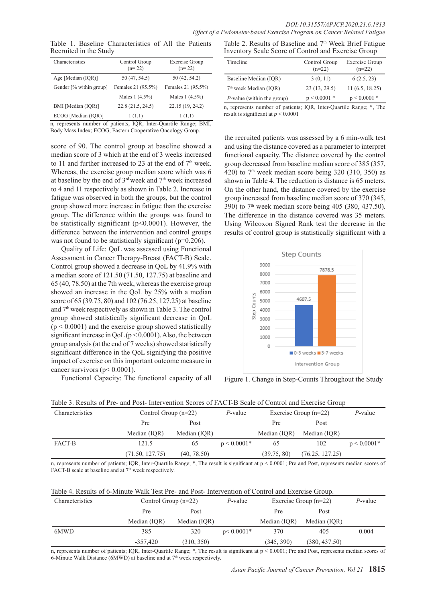Table 1. Baseline Characteristics of All the Patients Recruited in the Study

| Characteristics                                                   | Control Group<br>$(n=22)$ | <b>Exercise Group</b><br>$(n=22)$ |  |  |  |  |  |
|-------------------------------------------------------------------|---------------------------|-----------------------------------|--|--|--|--|--|
| Age [Median (IOR)]                                                | 50 (47, 54.5)             | 50 (42, 54.2)                     |  |  |  |  |  |
| Gender [% within group]                                           | Females 21 (95.5%)        | Females 21 (95.5%)                |  |  |  |  |  |
|                                                                   | Males $1(4.5%)$           | Males 1 (4.5%)                    |  |  |  |  |  |
| BMI [Median (IOR)]                                                | 22.8(21.5, 24.5)          | 22.15 (19, 24.2)                  |  |  |  |  |  |
| ECOG [Median (IOR)]                                               | 1(1,1)                    | 1(1,1)                            |  |  |  |  |  |
| n represents number of patients: IOR<br>Inter-Ouartile Range: RMI |                           |                                   |  |  |  |  |  |

n, represents number of patients; IQR, Inter-Quartile Range; BMI, Body Mass Index; ECOG, Eastern Cooperative Oncology Group.

score of 90. The control group at baseline showed a median score of 3 which at the end of 3 weeks increased to 11 and further increased to 23 at the end of  $7<sup>th</sup>$  week. Whereas, the exercise group median score which was 6 at baseline by the end of 3<sup>rd</sup> week and 7<sup>th</sup> week increased to 4 and 11 respectively as shown in Table 2. Increase in fatigue was observed in both the groups, but the control group showed more increase in fatigue than the exercise group. The difference within the groups was found to be statistically significant ( $p<0.0001$ ). However, the difference between the intervention and control groups was not found to be statistically significant (p=0.206).

Quality of Life: QoL was assessed using Functional Assessment in Cancer Therapy-Breast (FACT-B) Scale. Control group showed a decrease in QoL by 41.9% with a median score of 121.50 (71.50, 127.75) at baseline and 65 (40, 78.50) at the 7th week, whereas the exercise group showed an increase in the QoL by 25% with a median score of 65 (39.75, 80) and 102 (76.25, 127.25) at baseline and 7th week respectively as shown in Table 3. The control group showed statistically significant decrease in QoL  $(p < 0.0001)$  and the exercise group showed statistically significant increase in  $QoL (p < 0.0001)$ . Also, the between group analysis (at the end of 7 weeks) showed statistically significant difference in the QoL signifying the positive impact of exercise on this important outcome measure in cancer survivors (p< 0.0001).

Functional Capacity: The functional capacity of all

Table 2. Results of Baseline and 7<sup>th</sup> Week Brief Fatigue Inventory Scale Score of Control and Exercise Group

| Timeline                           | Control Group<br>$(n=22)$ | Exercise Group<br>$(n=22)$ |
|------------------------------------|---------------------------|----------------------------|
| Baseline Median (IOR)              | 3(0, 11)                  | 6(2.5, 23)                 |
| $7th$ week Median (IOR)            | 23 (13, 29.5)             | 11(6.5, 18.25)             |
| <i>P</i> -value (within the group) | $p < 0.0001$ *            | $p < 0.0001$ *             |

n, represents number of patients; IQR, Inter-Quartile Range; \*, The result is significant at *p* < 0.0001

the recruited patients was assessed by a 6 min-walk test and using the distance covered as a parameter to interpret functional capacity. The distance covered by the control group decreased from baseline median score of 385 (357, 420) to  $7<sup>th</sup>$  week median score being 320 (310, 350) as shown in Table 4. The reduction is distance is 65 meters. On the other hand, the distance covered by the exercise group increased from baseline median score of 370 (345, 390) to  $7<sup>th</sup>$  week median score being 405 (380, 437.50). The difference in the distance covered was 35 meters. Using Wilcoxon Signed Rank test the decrease in the results of control group is statistically significant with a



Figure 1. Change in Step-Counts Throughout the Study

| Table 3. Results of Pre- and Post-Intervention Scores of FACT-B Scale of Control and Exercise Group |                        |              |               |                         |                 |               |  |  |
|-----------------------------------------------------------------------------------------------------|------------------------|--------------|---------------|-------------------------|-----------------|---------------|--|--|
| Characteristics                                                                                     | Control Group $(n=22)$ |              | P-value       | Exercise Group $(n=22)$ | $P$ -value      |               |  |  |
|                                                                                                     | Pre                    | Post         |               | Pre                     | Post            |               |  |  |
|                                                                                                     | Median (IQR)           | Median (IQR) |               | Median (IOR)            | Median (IOR)    |               |  |  |
| FACT-B                                                                                              | 121.5                  | 65           | $p < 0.0001*$ | 65                      | 102             | $p < 0.0001*$ |  |  |
|                                                                                                     | (71.50, 127.75)        | (40, 78.50)  |               | (39.75, 80)             | (76.25, 127.25) |               |  |  |

n, represents number of patients; IQR, Inter-Quartile Range; \*, The result is significant at p < 0.0001; Pre and Post, represents median scores of FACT-B scale at baseline and at 7<sup>th</sup> week respectively.

|  |  |  |  |  | Table 4. Results of 6-Minute Walk Test Pre- and Post-Intervention of Control and Exercise Group. |  |
|--|--|--|--|--|--------------------------------------------------------------------------------------------------|--|
|  |  |  |  |  |                                                                                                  |  |

| Characteristics | Control Group $(n=22)$ |              | P-value       | Exercise Group $(n=22)$ |               | P-value |
|-----------------|------------------------|--------------|---------------|-------------------------|---------------|---------|
|                 | Pre<br>Post            |              |               | Pre                     | Post          |         |
|                 | Median (IOR)           | Median (IOR) |               | Median (IOR)            | Median (IOR)  |         |
| 6MWD            | 385                    | 320          | $p < 0.0001*$ | 370                     | 405           | 0.004   |
|                 | $-357.420$             | (310, 350)   |               | (345, 390)              | (380, 437.50) |         |

n, represents number of patients; IQR, Inter-Quartile Range; \*, The result is significant at p < 0.0001; Pre and Post, represents median scores of 6-Minute Walk Distance (6MWD) at baseline and at  $7<sup>th</sup>$  week respectively.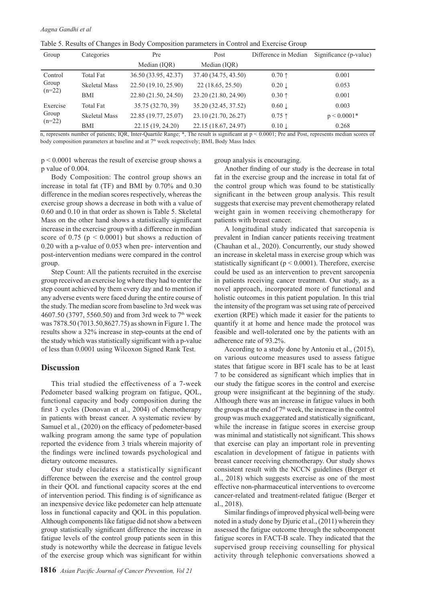|  |  | Table 5. Results of Changes in Body Composition parameters in Control and Exercise Group |  |  |
|--|--|------------------------------------------------------------------------------------------|--|--|
|  |  |                                                                                          |  |  |

| Group             | Categories           | Pre                  | Difference in Median<br>Post |                   | Significance (p-value) |
|-------------------|----------------------|----------------------|------------------------------|-------------------|------------------------|
|                   |                      | Median (IQR)         | Median (IQR)                 |                   |                        |
| Control           | Total Fat            | 36.50 (33.95, 42.37) | 37.40 (34.75, 43.50)         | $0.70 \uparrow$   | 0.001                  |
| Group<br>$(n=22)$ | <b>Skeletal Mass</b> | 22.50 (19.10, 25.90) | 22 (18.65, 25.50)            | $0.20 \downarrow$ | 0.053                  |
|                   | <b>BMI</b>           | 22.80 (21.50, 24.50) | 23.20 (21.80, 24.90)         | $0.30 \uparrow$   | 0.001                  |
| Exercise          | <b>Total Fat</b>     | 35.75 (32.70, 39)    | 35.20 (32.45, 37.52)         | $0.60 \downarrow$ | 0.003                  |
| Group<br>$(n=22)$ | <b>Skeletal Mass</b> | 22.85 (19.77, 25.07) | 23.10 (21.70, 26.27)         | $0.75$ ↑          | $p < 0.0001*$          |
|                   | BMI                  | 22.15 (19, 24.20)    | 22.15 (18.67, 24.97)         | $0.10 \perp$      | 0.268                  |

n, represents number of patients; IQR, Inter-Quartile Range; \*, The result is significant at p < 0.0001; Pre and Post, represents median scores of body composition parameters at baseline and at  $7<sup>th</sup>$  week respectively; BMI, Body Mass Index

p < 0.0001 whereas the result of exercise group shows a p value of 0.004.

group analysis is encouraging.

Body Composition: The control group shows an increase in total fat (TF) and BMI by 0.70% and 0.30 difference in the median scores respectively, whereas the exercise group shows a decrease in both with a value of 0.60 and 0.10 in that order as shown is Table 5. Skeletal Mass on the other hand shows a statistically significant increase in the exercise group with a difference in median score of 0.75 ( $p \le 0.0001$ ) but shows a reduction of 0.20 with a p-value of 0.053 when pre- intervention and post-intervention medians were compared in the control group.

Step Count: All the patients recruited in the exercise group received an exercise log where they had to enter the step count achieved by them every day and to mention if any adverse events were faced during the entire course of the study. The median score from baseline to 3rd week was 4607.50 (3797, 5560.50) and from 3rd week to 7<sup>th</sup> week was 7878.50 (7013.50,8627.75) as shown in Figure 1. The results show a 32% increase in step-counts at the end of the study which was statistically significant with a p-value of less than 0.0001 using Wilcoxon Signed Rank Test.

#### **Discussion**

This trial studied the effectiveness of a 7-week Pedometer based walking program on fatigue, QOL, functional capacity and body composition during the first 3 cycles (Donovan et al., 2004) of chemotherapy in patients with breast cancer. A systematic review by Samuel et al., (2020) on the efficacy of pedometer-based walking program among the same type of population reported the evidence from 3 trials wherein majority of the findings were inclined towards psychological and dietary outcome measures.

Our study elucidates a statistically significant difference between the exercise and the control group in their QOL and functional capacity scores at the end of intervention period. This finding is of significance as an inexpensive device like pedometer can help attenuate loss in functional capacity and QOL in this population. Although components like fatigue did not show a between group statistically significant difference the increase in fatigue levels of the control group patients seen in this study is noteworthy while the decrease in fatigue levels of the exercise group which was significant for within

Another finding of our study is the decrease in total fat in the exercise group and the increase in total fat of the control group which was found to be statistically significant in the between group analysis. This result suggests that exercise may prevent chemotherapy related weight gain in women receiving chemotherapy for patients with breast cancer.

A longitudinal study indicated that sarcopenia is prevalent in Indian cancer patients receiving treatment (Chauhan et al., 2020). Concurrently, our study showed an increase in skeletal mass in exercise group which was statistically significant ( $p < 0.0001$ ). Therefore, exercise could be used as an intervention to prevent sarcopenia in patients receiving cancer treatment. Our study, as a novel approach, incorporated more of functional and holistic outcomes in this patient population. In this trial the intensity of the program was set using rate of perceived exertion (RPE) which made it easier for the patients to quantify it at home and hence made the protocol was feasible and well-tolerated one by the patients with an adherence rate of 93.2%.

According to a study done by Antoniu et al., (2015), on various outcome measures used to assess fatigue states that fatigue score in BFI scale has to be at least 7 to be considered as significant which implies that in our study the fatigue scores in the control and exercise group were insignificant at the beginning of the study. Although there was an increase in fatigue values in both the groups at the end of 7<sup>th</sup> week, the increase in the control group was much exaggerated and statistically significant, while the increase in fatigue scores in exercise group was minimal and statistically not significant. This shows that exercise can play an important role in preventing escalation in development of fatigue in patients with breast cancer receiving chemotherapy. Our study shows consistent result with the NCCN guidelines (Berger et al., 2018) which suggests exercise as one of the most effective non-pharmaceutical interventions to overcome cancer-related and treatment-related fatigue (Berger et al., 2018).

Similar findings of improved physical well-being were noted in a study done by Djuric et al., (2011) wherein they assessed the fatigue outcome through the subcomponent fatigue scores in FACT-B scale. They indicated that the supervised group receiving counselling for physical activity through telephonic conversations showed a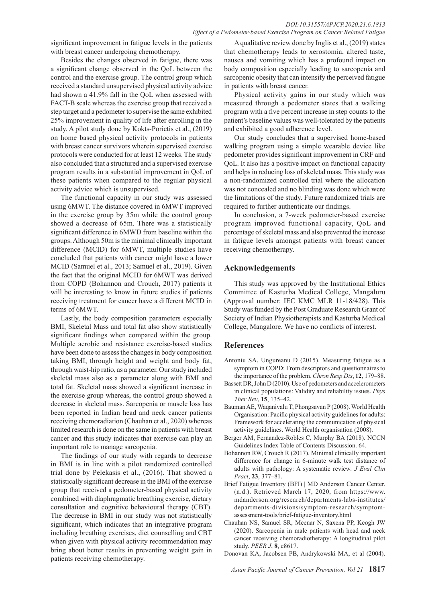significant improvement in fatigue levels in the patients with breast cancer undergoing chemotherapy.

Besides the changes observed in fatigue, there was a significant change observed in the QoL between the control and the exercise group. The control group which received a standard unsupervised physical activity advice had shown a 41.9% fall in the QoL when assessed with FACT-B scale whereas the exercise group that received a step target and a pedometer to supervise the same exhibited 25% improvement in quality of life after enrolling in the study. A pilot study done by Kokts-Porietis et al., (2019) on home based physical activity protocols in patients with breast cancer survivors wherein supervised exercise protocols were conducted for at least 12 weeks. The study also concluded that a structured and a supervised exercise program results in a substantial improvement in QoL of these patients when compared to the regular physical activity advice which is unsupervised.

The functional capacity in our study was assessed using 6MWT. The distance covered in 6MWT improved in the exercise group by 35m while the control group showed a decrease of 65m. There was a statistically significant difference in 6MWD from baseline within the groups. Although 50m is the minimal clinically important difference (MCID) for 6MWT, multiple studies have concluded that patients with cancer might have a lower MCID (Samuel et al., 2013; Samuel et al., 2019). Given the fact that the original MCID for 6MWT was derived from COPD (Bohannon and Crouch, 2017) patients it will be interesting to know in future studies if patients receiving treatment for cancer have a different MCID in terms of 6MWT.

Lastly, the body composition parameters especially BMI, Skeletal Mass and total fat also show statistically significant findings when compared within the group. Multiple aerobic and resistance exercise-based studies have been done to assess the changes in body composition taking BMI, through height and weight and body fat, through waist-hip ratio, as a parameter. Our study included skeletal mass also as a parameter along with BMI and total fat. Skeletal mass showed a significant increase in the exercise group whereas, the control group showed a decrease in skeletal mass. Sarcopenia or muscle loss has been reported in Indian head and neck cancer patients receiving chemoradiation (Chauhan et al., 2020) whereas limited research is done on the same in patients with breast cancer and this study indicates that exercise can play an important role to manage sarcopenia.

The findings of our study with regards to decrease in BMI is in line with a pilot randomized controlled trial done by Pelekasis et al., (2016). That showed a statistically significant decrease in the BMI of the exercise group that received a pedometer-based physical activity combined with diaphragmatic breathing exercise, dietary consultation and cognitive behavioural therapy (CBT). The decrease in BMI in our study was not statistically significant, which indicates that an integrative program including breathing exercises, diet counselling and CBT when given with physical activity recommendation may bring about better results in preventing weight gain in patients receiving chemotherapy.

A qualitative review done by Inglis et al., (2019) states that chemotherapy leads to xerostomia, altered taste, nausea and vomiting which has a profound impact on body composition especially leading to sarcopenia and sarcopenic obesity that can intensify the perceived fatigue in patients with breast cancer.

Physical activity gains in our study which was measured through a pedometer states that a walking program with a five percent increase in step counts to the patient's baseline values was well-tolerated by the patients and exhibited a good adherence level.

Our study concludes that a supervised home-based walking program using a simple wearable device like pedometer provides significant improvement in CRF and QoL. It also has a positive impact on functional capacity and helps in reducing loss of skeletal mass. This study was a non-randomized controlled trial where the allocation was not concealed and no blinding was done which were the limitations of the study. Future randomized trials are required to further authenticate our findings.

In conclusion, a 7-week pedometer-based exercise program improved functional capacity, QoL and percentage of skeletal mass and also prevented the increase in fatigue levels amongst patients with breast cancer receiving chemotherapy.

# **Acknowledgements**

This study was approved by the Institutional Ethics Committee of Kasturba Medical College, Mangaluru (Approval number: IEC KMC MLR 11-18/428). This Study was funded by the Post Graduate Research Grant of Society of Indian Physiotherapists and Kasturba Medical College, Mangalore. We have no conflicts of interest.

### **References**

- Antoniu SA, Ungureanu D (2015). Measuring fatigue as a symptom in COPD: From descriptors and questionnaires to the importance of the problem. *Chron Resp Dis*, **12**, 179–88.
- Bassett DR, John D (2010). Use of pedometers and accelerometers in clinical populations: Validity and reliability issues. *Phys Ther Rev*, **15**, 135–42.
- Bauman AE, Waqanivalu T, Phongsavan P (2008). World Health Organisation: Pacific physical activity guidelines for adults: Framework for accelerating the communication of physical activity guidelines. World Health organisation (2008).
- Berger AM, Fernandez-Robles C, Murphy BA (2018). NCCN Guidelines Index Table of Contents Discussion. 64.
- Bohannon RW, Crouch R (2017). Minimal clinically important difference for change in 6-minute walk test distance of adults with pathology: A systematic review. *J Eval Clin Pract*, **23**, 377–81.
- Brief Fatigue Inventory (BFI) | MD Anderson Cancer Center. (n.d.). Retrieved March 17, 2020, from https://www. mdanderson.org/research/departments-labs-institutes/ departments-divisions/symptom-research/symptomassessment-tools/brief-fatigue-inventory.html
- Chauhan NS, Samuel SR, Meenar N, Saxena PP, Keogh JW (2020). Sarcopenia in male patients with head and neck cancer receiving chemoradiotherapy: A longitudinal pilot study. *PEER J*, **8**, e8617.
- Donovan KA, Jacobsen PB, Andrykowski MA, et al (2004).